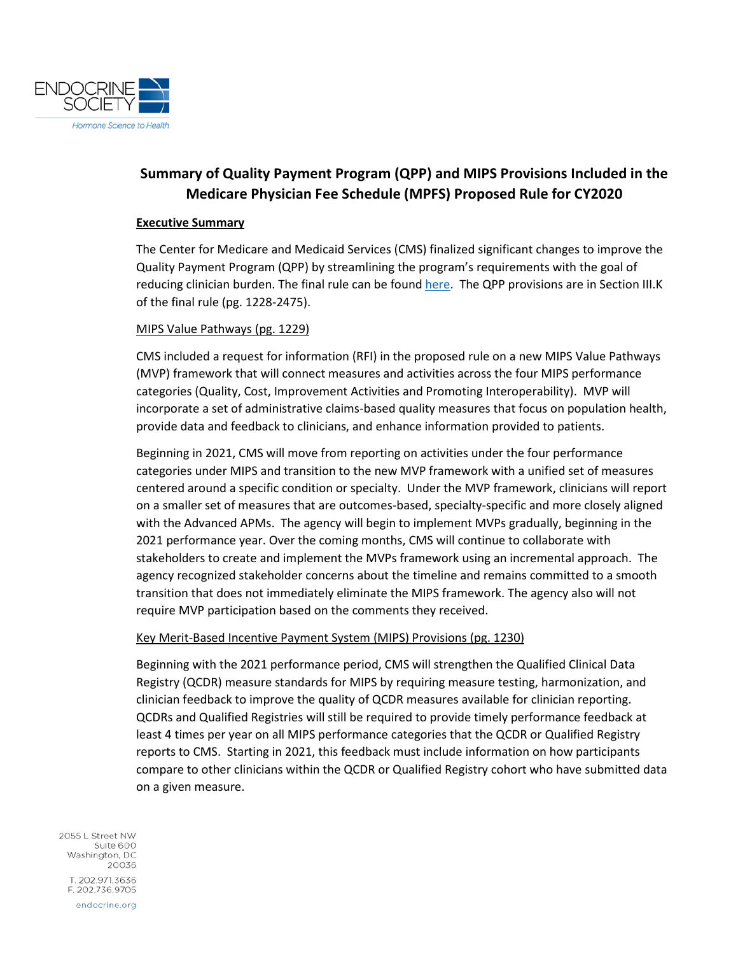

# **Summary of Quality Payment Program (QPP) and MIPS Provisions Included in the Medicare Physician Fee Schedule (MPFS) Proposed Rule for CY2020**

#### **Executive Summary**

The Center for Medicare and Medicaid Services (CMS) finalized significant changes to improve the Quality Payment Program (QPP) by streamlining the program's requirements with the goal of reducing clinician burden. The final rule can be found [here.](https://s3.amazonaws.com/public-inspection.federalregister.gov/2019-24086.pdf) The QPP provisions are in Section III.K of the final rule (pg. 1228-2475).

### MIPS Value Pathways (pg. 1229)

CMS included a request for information (RFI) in the proposed rule on a new MIPS Value Pathways (MVP) framework that will connect measures and activities across the four MIPS performance categories (Quality, Cost, Improvement Activities and Promoting Interoperability). MVP will incorporate a set of administrative claims-based quality measures that focus on population health, provide data and feedback to clinicians, and enhance information provided to patients.

Beginning in 2021, CMS will move from reporting on activities under the four performance categories under MIPS and transition to the new MVP framework with a unified set of measures centered around a specific condition or specialty. Under the MVP framework, clinicians will report on a smaller set of measures that are outcomes-based, specialty-specific and more closely aligned with the Advanced APMs. The agency will begin to implement MVPs gradually, beginning in the 2021 performance year. Over the coming months, CMS will continue to collaborate with stakeholders to create and implement the MVPs framework using an incremental approach. The agency recognized stakeholder concerns about the timeline and remains committed to a smooth transition that does not immediately eliminate the MIPS framework. The agency also will not require MVP participation based on the comments they received.

#### Key Merit-Based Incentive Payment System (MIPS) Provisions (pg. 1230)

Beginning with the 2021 performance period, CMS will strengthen the Qualified Clinical Data Registry (QCDR) measure standards for MIPS by requiring measure testing, harmonization, and clinician feedback to improve the quality of QCDR measures available for clinician reporting. QCDRs and Qualified Registries will still be required to provide timely performance feedback at least 4 times per year on all MIPS performance categories that the QCDR or Qualified Registry reports to CMS. Starting in 2021, this feedback must include information on how participants compare to other clinicians within the QCDR or Qualified Registry cohort who have submitted data on a given measure.

2055 L Street NW Suite 600 Washington, DC 20036 T. 202.971.3636 F. 202.736.9705 endocrine.org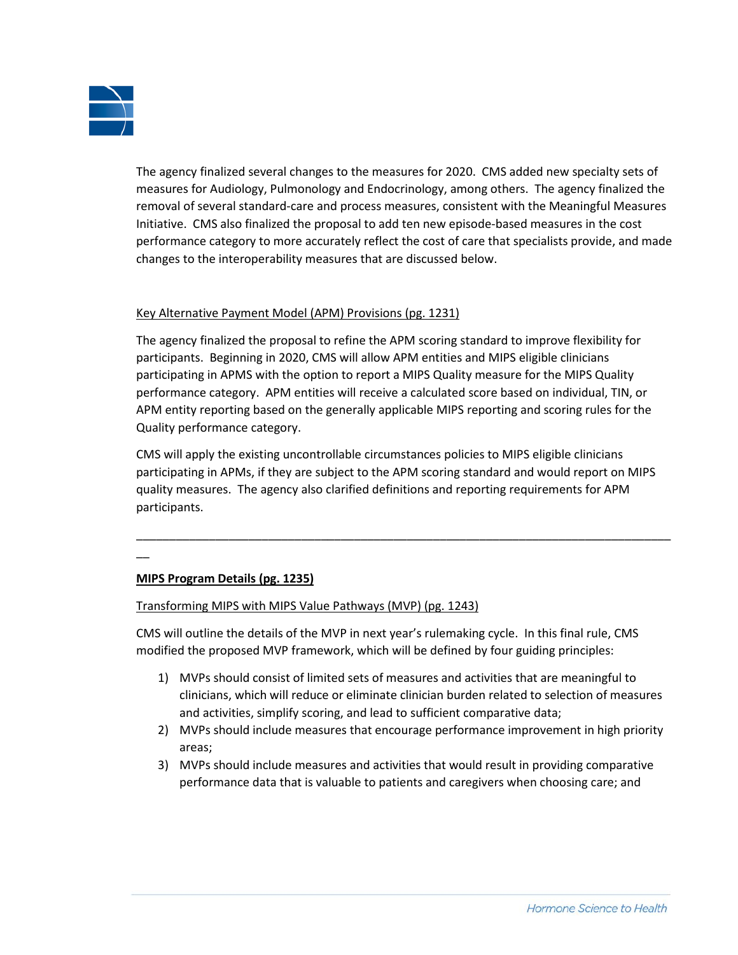

The agency finalized several changes to the measures for 2020. CMS added new specialty sets of measures for Audiology, Pulmonology and Endocrinology, among others. The agency finalized the removal of several standard-care and process measures, consistent with the Meaningful Measures Initiative. CMS also finalized the proposal to add ten new episode-based measures in the cost performance category to more accurately reflect the cost of care that specialists provide, and made changes to the interoperability measures that are discussed below.

### Key Alternative Payment Model (APM) Provisions (pg. 1231)

The agency finalized the proposal to refine the APM scoring standard to improve flexibility for participants. Beginning in 2020, CMS will allow APM entities and MIPS eligible clinicians participating in APMS with the option to report a MIPS Quality measure for the MIPS Quality performance category. APM entities will receive a calculated score based on individual, TIN, or APM entity reporting based on the generally applicable MIPS reporting and scoring rules for the Quality performance category.

CMS will apply the existing uncontrollable circumstances policies to MIPS eligible clinicians participating in APMs, if they are subject to the APM scoring standard and would report on MIPS quality measures. The agency also clarified definitions and reporting requirements for APM participants.

\_\_\_\_\_\_\_\_\_\_\_\_\_\_\_\_\_\_\_\_\_\_\_\_\_\_\_\_\_\_\_\_\_\_\_\_\_\_\_\_\_\_\_\_\_\_\_\_\_\_\_\_\_\_\_\_\_\_\_\_\_\_\_\_\_\_\_\_\_\_\_\_\_\_\_\_\_\_\_\_\_

 $\overline{\phantom{a}}$ 

# **MIPS Program Details (pg. 1235)**

### Transforming MIPS with MIPS Value Pathways (MVP) (pg. 1243)

CMS will outline the details of the MVP in next year's rulemaking cycle. In this final rule, CMS modified the proposed MVP framework, which will be defined by four guiding principles:

- 1) MVPs should consist of limited sets of measures and activities that are meaningful to clinicians, which will reduce or eliminate clinician burden related to selection of measures and activities, simplify scoring, and lead to sufficient comparative data;
- 2) MVPs should include measures that encourage performance improvement in high priority areas;
- 3) MVPs should include measures and activities that would result in providing comparative performance data that is valuable to patients and caregivers when choosing care; and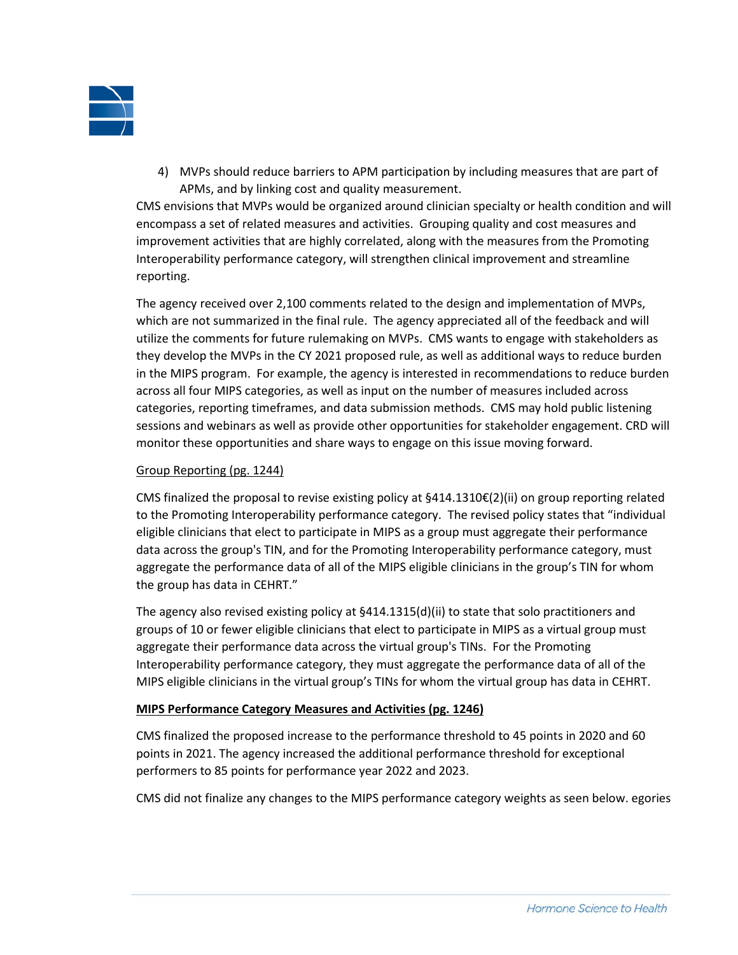

4) MVPs should reduce barriers to APM participation by including measures that are part of APMs, and by linking cost and quality measurement.

CMS envisions that MVPs would be organized around clinician specialty or health condition and will encompass a set of related measures and activities. Grouping quality and cost measures and improvement activities that are highly correlated, along with the measures from the Promoting Interoperability performance category, will strengthen clinical improvement and streamline reporting.

The agency received over 2,100 comments related to the design and implementation of MVPs, which are not summarized in the final rule. The agency appreciated all of the feedback and will utilize the comments for future rulemaking on MVPs. CMS wants to engage with stakeholders as they develop the MVPs in the CY 2021 proposed rule, as well as additional ways to reduce burden in the MIPS program. For example, the agency is interested in recommendations to reduce burden across all four MIPS categories, as well as input on the number of measures included across categories, reporting timeframes, and data submission methods. CMS may hold public listening sessions and webinars as well as provide other opportunities for stakeholder engagement. CRD will monitor these opportunities and share ways to engage on this issue moving forward.

### Group Reporting (pg. 1244)

CMS finalized the proposal to revise existing policy at §414.1310€(2)(ii) on group reporting related to the Promoting Interoperability performance category. The revised policy states that "individual eligible clinicians that elect to participate in MIPS as a group must aggregate their performance data across the group's TIN, and for the Promoting Interoperability performance category, must aggregate the performance data of all of the MIPS eligible clinicians in the group's TIN for whom the group has data in CEHRT."

The agency also revised existing policy at §414.1315(d)(ii) to state that solo practitioners and groups of 10 or fewer eligible clinicians that elect to participate in MIPS as a virtual group must aggregate their performance data across the virtual group's TINs. For the Promoting Interoperability performance category, they must aggregate the performance data of all of the MIPS eligible clinicians in the virtual group's TINs for whom the virtual group has data in CEHRT.

### **MIPS Performance Category Measures and Activities (pg. 1246)**

CMS finalized the proposed increase to the performance threshold to 45 points in 2020 and 60 points in 2021. The agency increased the additional performance threshold for exceptional performers to 85 points for performance year 2022 and 2023.

CMS did not finalize any changes to the MIPS performance category weights as seen below. egories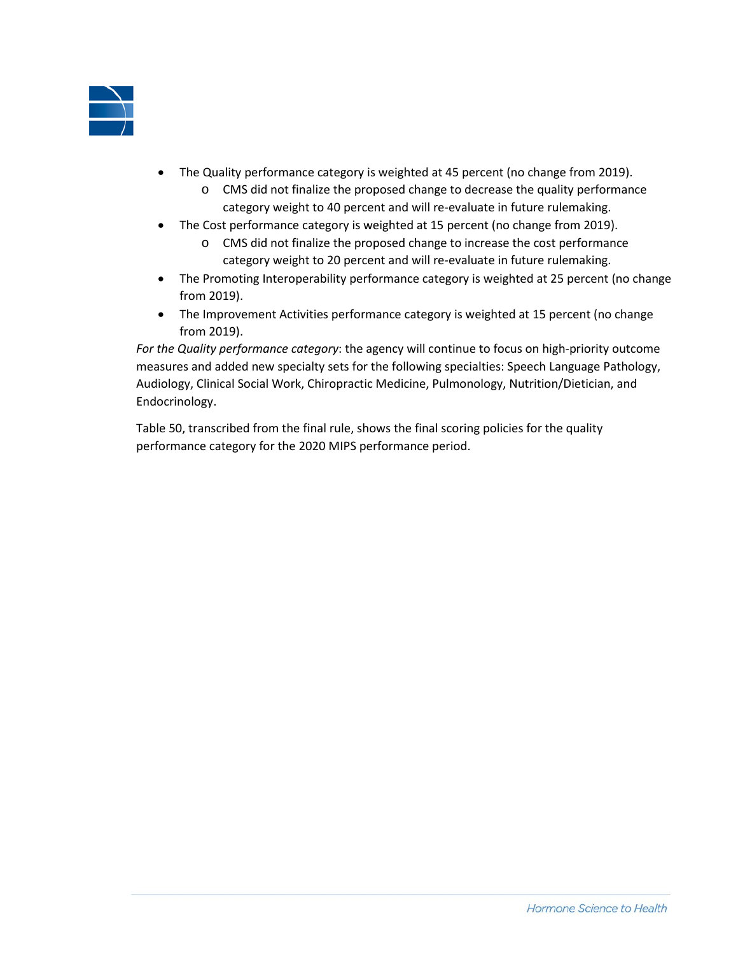

- The Quality performance category is weighted at 45 percent (no change from 2019).
	- o CMS did not finalize the proposed change to decrease the quality performance category weight to 40 percent and will re-evaluate in future rulemaking.
- The Cost performance category is weighted at 15 percent (no change from 2019).
	- o CMS did not finalize the proposed change to increase the cost performance category weight to 20 percent and will re-evaluate in future rulemaking.
- The Promoting Interoperability performance category is weighted at 25 percent (no change from 2019).
- The Improvement Activities performance category is weighted at 15 percent (no change from 2019).

*For the Quality performance category*: the agency will continue to focus on high-priority outcome measures and added new specialty sets for the following specialties: Speech Language Pathology, Audiology, Clinical Social Work, Chiropractic Medicine, Pulmonology, Nutrition/Dietician, and Endocrinology.

Table 50, transcribed from the final rule, shows the final scoring policies for the quality performance category for the 2020 MIPS performance period.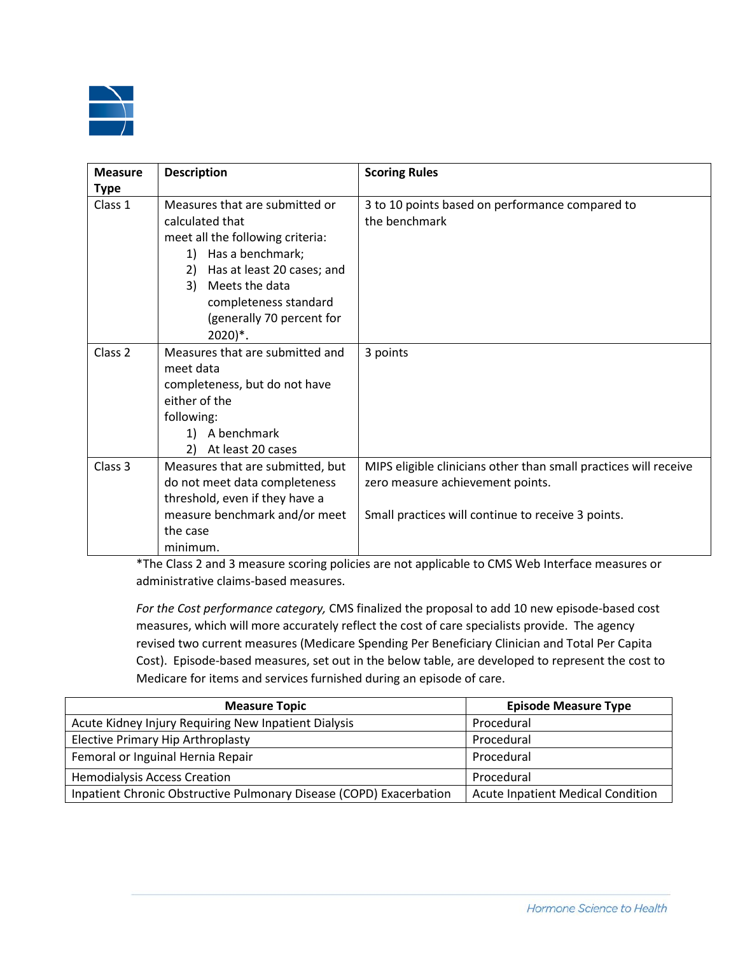

| <b>Measure</b>     | <b>Description</b>               | <b>Scoring Rules</b>                                             |
|--------------------|----------------------------------|------------------------------------------------------------------|
| <b>Type</b>        |                                  |                                                                  |
| Class 1            | Measures that are submitted or   | 3 to 10 points based on performance compared to                  |
|                    | calculated that                  | the benchmark                                                    |
|                    | meet all the following criteria: |                                                                  |
|                    | Has a benchmark;<br>1)           |                                                                  |
|                    | Has at least 20 cases; and<br>2) |                                                                  |
|                    | 3) Meets the data                |                                                                  |
|                    | completeness standard            |                                                                  |
|                    | (generally 70 percent for        |                                                                  |
|                    | $2020)$ <sup>*</sup> .           |                                                                  |
| Class <sub>2</sub> | Measures that are submitted and  | 3 points                                                         |
|                    | meet data                        |                                                                  |
|                    | completeness, but do not have    |                                                                  |
|                    | either of the                    |                                                                  |
|                    | following:                       |                                                                  |
|                    | A benchmark<br>1)                |                                                                  |
|                    | At least 20 cases<br>2)          |                                                                  |
| Class 3            | Measures that are submitted, but | MIPS eligible clinicians other than small practices will receive |
|                    | do not meet data completeness    | zero measure achievement points.                                 |
|                    | threshold, even if they have a   |                                                                  |
|                    | measure benchmark and/or meet    | Small practices will continue to receive 3 points.               |
|                    | the case                         |                                                                  |
|                    | minimum.                         |                                                                  |

\*The Class 2 and 3 measure scoring policies are not applicable to CMS Web Interface measures or administrative claims-based measures.

*For the Cost performance category,* CMS finalized the proposal to add 10 new episode-based cost measures, which will more accurately reflect the cost of care specialists provide. The agency revised two current measures (Medicare Spending Per Beneficiary Clinician and Total Per Capita Cost). Episode-based measures, set out in the below table, are developed to represent the cost to Medicare for items and services furnished during an episode of care.

| <b>Measure Topic</b>                                                | <b>Episode Measure Type</b>              |
|---------------------------------------------------------------------|------------------------------------------|
| Acute Kidney Injury Requiring New Inpatient Dialysis                | Procedural                               |
| <b>Elective Primary Hip Arthroplasty</b>                            | Procedural                               |
| Femoral or Inguinal Hernia Repair                                   | Procedural                               |
| <b>Hemodialysis Access Creation</b>                                 | Procedural                               |
| Inpatient Chronic Obstructive Pulmonary Disease (COPD) Exacerbation | <b>Acute Inpatient Medical Condition</b> |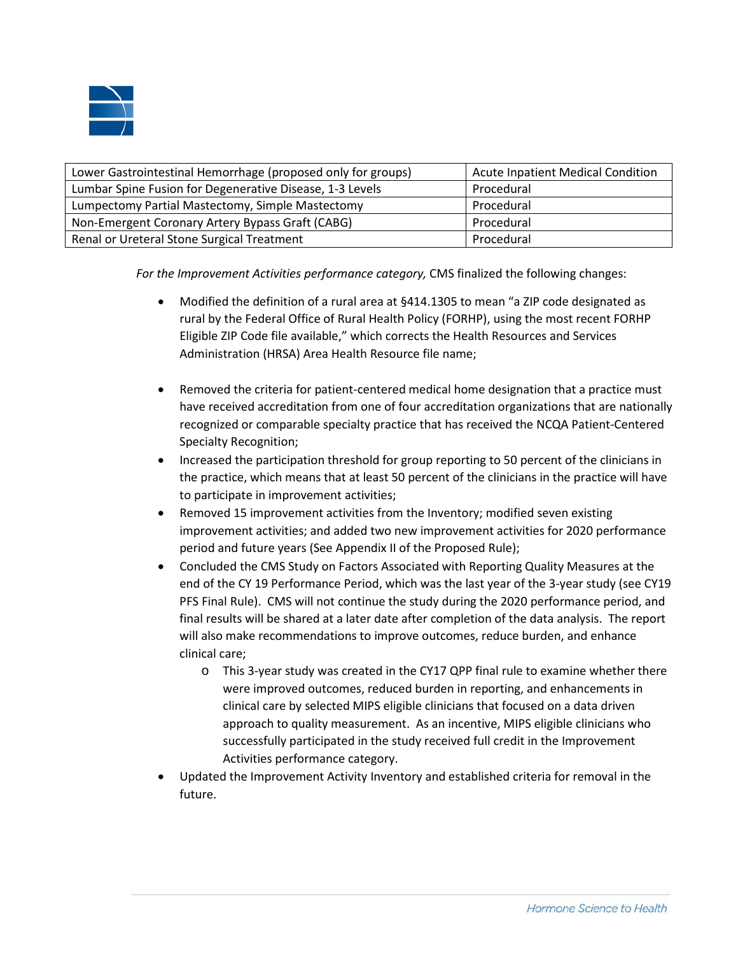

| Lower Gastrointestinal Hemorrhage (proposed only for groups) | <b>Acute Inpatient Medical Condition</b> |
|--------------------------------------------------------------|------------------------------------------|
| Lumbar Spine Fusion for Degenerative Disease, 1-3 Levels     | Procedural                               |
| Lumpectomy Partial Mastectomy, Simple Mastectomy             | Procedural                               |
| Non-Emergent Coronary Artery Bypass Graft (CABG)             | Procedural                               |
| Renal or Ureteral Stone Surgical Treatment                   | Procedural                               |

*For the Improvement Activities performance category,* CMS finalized the following changes:

- Modified the definition of a rural area at §414.1305 to mean "a ZIP code designated as rural by the Federal Office of Rural Health Policy (FORHP), using the most recent FORHP Eligible ZIP Code file available," which corrects the Health Resources and Services Administration (HRSA) Area Health Resource file name;
- Removed the criteria for patient-centered medical home designation that a practice must have received accreditation from one of four accreditation organizations that are nationally recognized or comparable specialty practice that has received the NCQA Patient-Centered Specialty Recognition;
- Increased the participation threshold for group reporting to 50 percent of the clinicians in the practice, which means that at least 50 percent of the clinicians in the practice will have to participate in improvement activities;
- Removed 15 improvement activities from the Inventory; modified seven existing improvement activities; and added two new improvement activities for 2020 performance period and future years (See Appendix II of the Proposed Rule);
- Concluded the CMS Study on Factors Associated with Reporting Quality Measures at the end of the CY 19 Performance Period, which was the last year of the 3-year study (see CY19 PFS Final Rule). CMS will not continue the study during the 2020 performance period, and final results will be shared at a later date after completion of the data analysis. The report will also make recommendations to improve outcomes, reduce burden, and enhance clinical care;
	- o This 3-year study was created in the CY17 QPP final rule to examine whether there were improved outcomes, reduced burden in reporting, and enhancements in clinical care by selected MIPS eligible clinicians that focused on a data driven approach to quality measurement. As an incentive, MIPS eligible clinicians who successfully participated in the study received full credit in the Improvement Activities performance category.
- Updated the Improvement Activity Inventory and established criteria for removal in the future.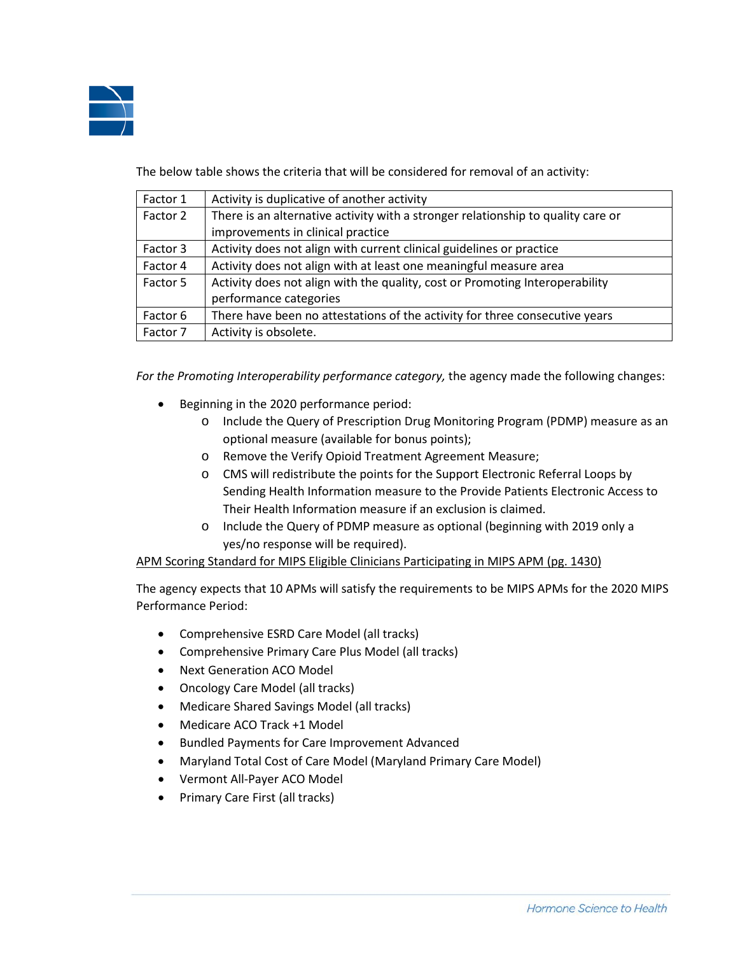

The below table shows the criteria that will be considered for removal of an activity:

| Factor 1 | Activity is duplicative of another activity                                      |
|----------|----------------------------------------------------------------------------------|
| Factor 2 | There is an alternative activity with a stronger relationship to quality care or |
|          | improvements in clinical practice                                                |
| Factor 3 | Activity does not align with current clinical guidelines or practice             |
| Factor 4 | Activity does not align with at least one meaningful measure area                |
| Factor 5 | Activity does not align with the quality, cost or Promoting Interoperability     |
|          | performance categories                                                           |
| Factor 6 | There have been no attestations of the activity for three consecutive years      |
| Factor 7 | Activity is obsolete.                                                            |

*For the Promoting Interoperability performance category,* the agency made the following changes:

- Beginning in the 2020 performance period:
	- o Include the Query of Prescription Drug Monitoring Program (PDMP) measure as an optional measure (available for bonus points);
	- o Remove the Verify Opioid Treatment Agreement Measure;
	- o CMS will redistribute the points for the Support Electronic Referral Loops by Sending Health Information measure to the Provide Patients Electronic Access to Their Health Information measure if an exclusion is claimed.
	- o Include the Query of PDMP measure as optional (beginning with 2019 only a yes/no response will be required).

APM Scoring Standard for MIPS Eligible Clinicians Participating in MIPS APM (pg. 1430)

The agency expects that 10 APMs will satisfy the requirements to be MIPS APMs for the 2020 MIPS Performance Period:

- Comprehensive ESRD Care Model (all tracks)
- Comprehensive Primary Care Plus Model (all tracks)
- Next Generation ACO Model
- Oncology Care Model (all tracks)
- Medicare Shared Savings Model (all tracks)
- Medicare ACO Track +1 Model
- Bundled Payments for Care Improvement Advanced
- Maryland Total Cost of Care Model (Maryland Primary Care Model)
- Vermont All-Payer ACO Model
- Primary Care First (all tracks)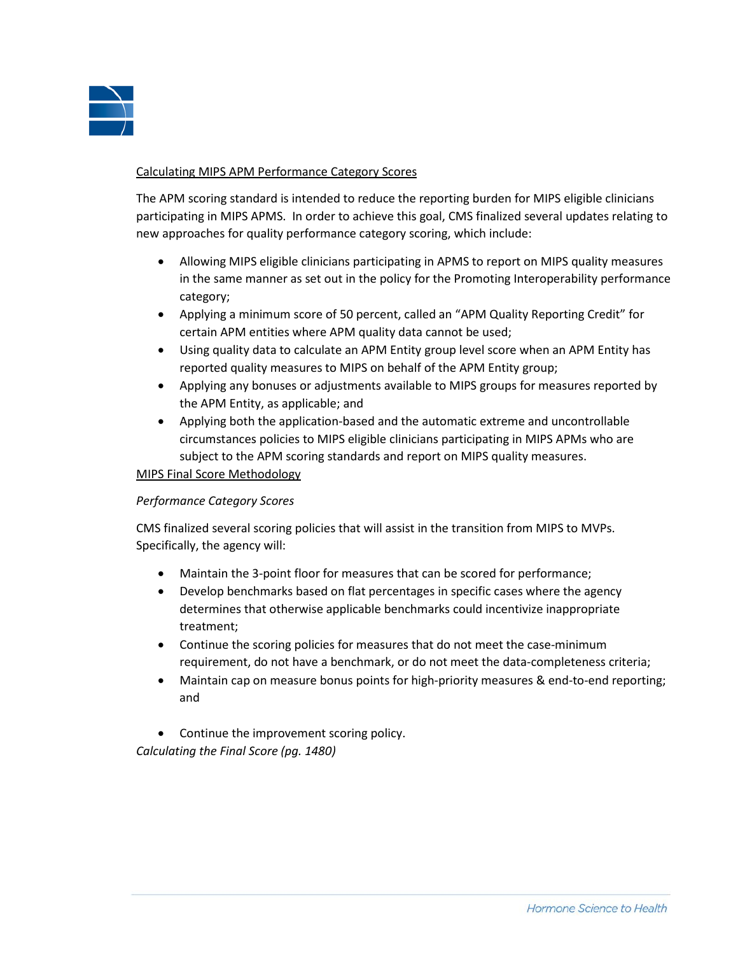

### Calculating MIPS APM Performance Category Scores

The APM scoring standard is intended to reduce the reporting burden for MIPS eligible clinicians participating in MIPS APMS. In order to achieve this goal, CMS finalized several updates relating to new approaches for quality performance category scoring, which include:

- Allowing MIPS eligible clinicians participating in APMS to report on MIPS quality measures in the same manner as set out in the policy for the Promoting Interoperability performance category;
- Applying a minimum score of 50 percent, called an "APM Quality Reporting Credit" for certain APM entities where APM quality data cannot be used;
- Using quality data to calculate an APM Entity group level score when an APM Entity has reported quality measures to MIPS on behalf of the APM Entity group;
- Applying any bonuses or adjustments available to MIPS groups for measures reported by the APM Entity, as applicable; and
- Applying both the application-based and the automatic extreme and uncontrollable circumstances policies to MIPS eligible clinicians participating in MIPS APMs who are subject to the APM scoring standards and report on MIPS quality measures.

### MIPS Final Score Methodology

### *Performance Category Scores*

CMS finalized several scoring policies that will assist in the transition from MIPS to MVPs. Specifically, the agency will:

- Maintain the 3-point floor for measures that can be scored for performance;
- Develop benchmarks based on flat percentages in specific cases where the agency determines that otherwise applicable benchmarks could incentivize inappropriate treatment;
- Continue the scoring policies for measures that do not meet the case-minimum requirement, do not have a benchmark, or do not meet the data-completeness criteria;
- Maintain cap on measure bonus points for high-priority measures & end-to-end reporting; and
- Continue the improvement scoring policy. *Calculating the Final Score (pg. 1480)*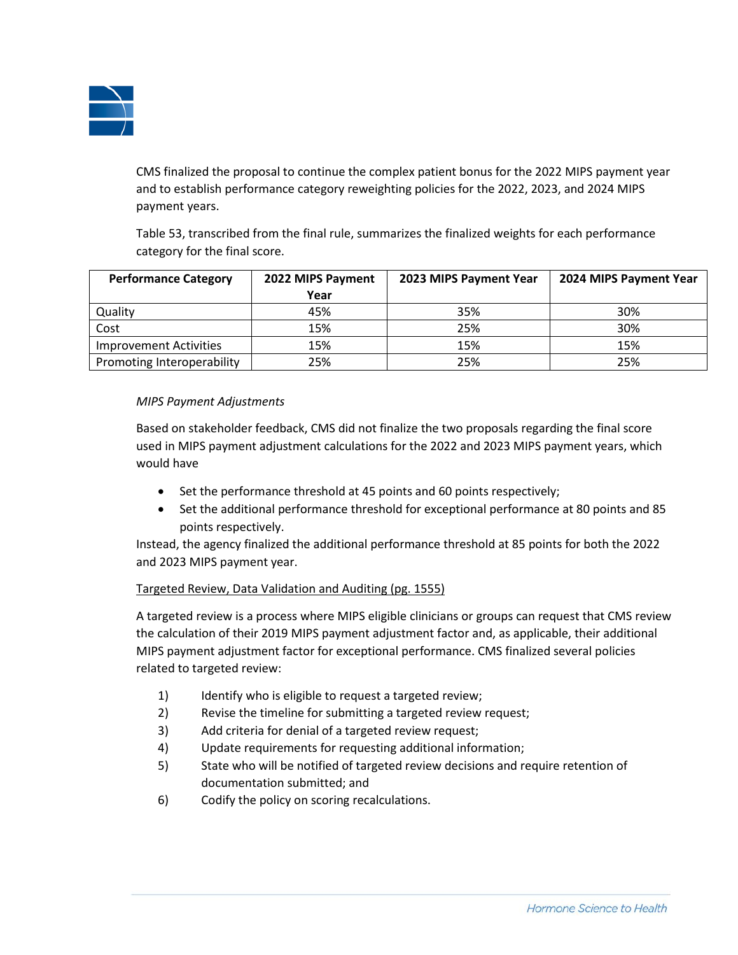

CMS finalized the proposal to continue the complex patient bonus for the 2022 MIPS payment year and to establish performance category reweighting policies for the 2022, 2023, and 2024 MIPS payment years.

Table 53, transcribed from the final rule, summarizes the finalized weights for each performance category for the final score.

| <b>Performance Category</b>   | 2022 MIPS Payment | 2023 MIPS Payment Year | 2024 MIPS Payment Year |
|-------------------------------|-------------------|------------------------|------------------------|
|                               | Year              |                        |                        |
| Quality                       | 45%               | 35%                    | 30%                    |
| Cost                          | 15%               | 25%                    | 30%                    |
| <b>Improvement Activities</b> | 15%               | 15%                    | 15%                    |
| Promoting Interoperability    | 25%               | 25%                    | 25%                    |

## *MIPS Payment Adjustments*

Based on stakeholder feedback, CMS did not finalize the two proposals regarding the final score used in MIPS payment adjustment calculations for the 2022 and 2023 MIPS payment years, which would have

- Set the performance threshold at 45 points and 60 points respectively;
- Set the additional performance threshold for exceptional performance at 80 points and 85 points respectively.

Instead, the agency finalized the additional performance threshold at 85 points for both the 2022 and 2023 MIPS payment year.

### Targeted Review, Data Validation and Auditing (pg. 1555)

A targeted review is a process where MIPS eligible clinicians or groups can request that CMS review the calculation of their 2019 MIPS payment adjustment factor and, as applicable, their additional MIPS payment adjustment factor for exceptional performance. CMS finalized several policies related to targeted review:

- 1) Identify who is eligible to request a targeted review;
- 2) Revise the timeline for submitting a targeted review request;
- 3) Add criteria for denial of a targeted review request;
- 4) Update requirements for requesting additional information;
- 5) State who will be notified of targeted review decisions and require retention of documentation submitted; and
- 6) Codify the policy on scoring recalculations.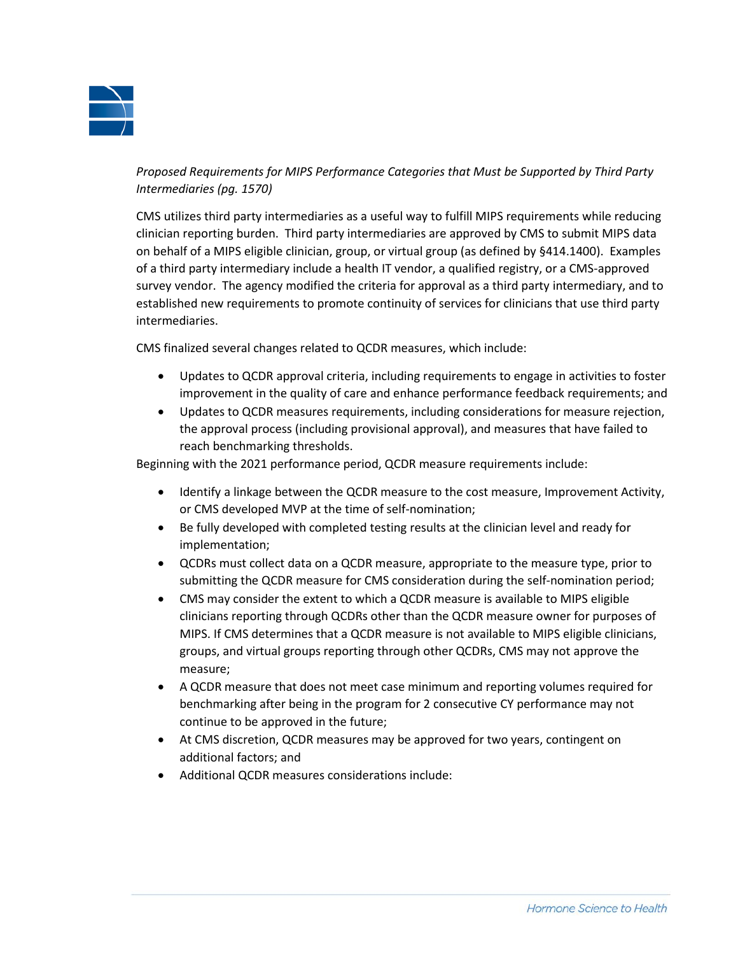

*Proposed Requirements for MIPS Performance Categories that Must be Supported by Third Party Intermediaries (pg. 1570)*

CMS utilizes third party intermediaries as a useful way to fulfill MIPS requirements while reducing clinician reporting burden. Third party intermediaries are approved by CMS to submit MIPS data on behalf of a MIPS eligible clinician, group, or virtual group (as defined by §414.1400). Examples of a third party intermediary include a health IT vendor, a qualified registry, or a CMS-approved survey vendor. The agency modified the criteria for approval as a third party intermediary, and to established new requirements to promote continuity of services for clinicians that use third party intermediaries.

CMS finalized several changes related to QCDR measures, which include:

- Updates to QCDR approval criteria, including requirements to engage in activities to foster improvement in the quality of care and enhance performance feedback requirements; and
- Updates to QCDR measures requirements, including considerations for measure rejection, the approval process (including provisional approval), and measures that have failed to reach benchmarking thresholds.

Beginning with the 2021 performance period, QCDR measure requirements include:

- Identify a linkage between the QCDR measure to the cost measure, Improvement Activity, or CMS developed MVP at the time of self-nomination;
- Be fully developed with completed testing results at the clinician level and ready for implementation;
- QCDRs must collect data on a QCDR measure, appropriate to the measure type, prior to submitting the QCDR measure for CMS consideration during the self-nomination period;
- CMS may consider the extent to which a QCDR measure is available to MIPS eligible clinicians reporting through QCDRs other than the QCDR measure owner for purposes of MIPS. If CMS determines that a QCDR measure is not available to MIPS eligible clinicians, groups, and virtual groups reporting through other QCDRs, CMS may not approve the measure;
- A QCDR measure that does not meet case minimum and reporting volumes required for benchmarking after being in the program for 2 consecutive CY performance may not continue to be approved in the future;
- At CMS discretion, QCDR measures may be approved for two years, contingent on additional factors; and
- Additional QCDR measures considerations include: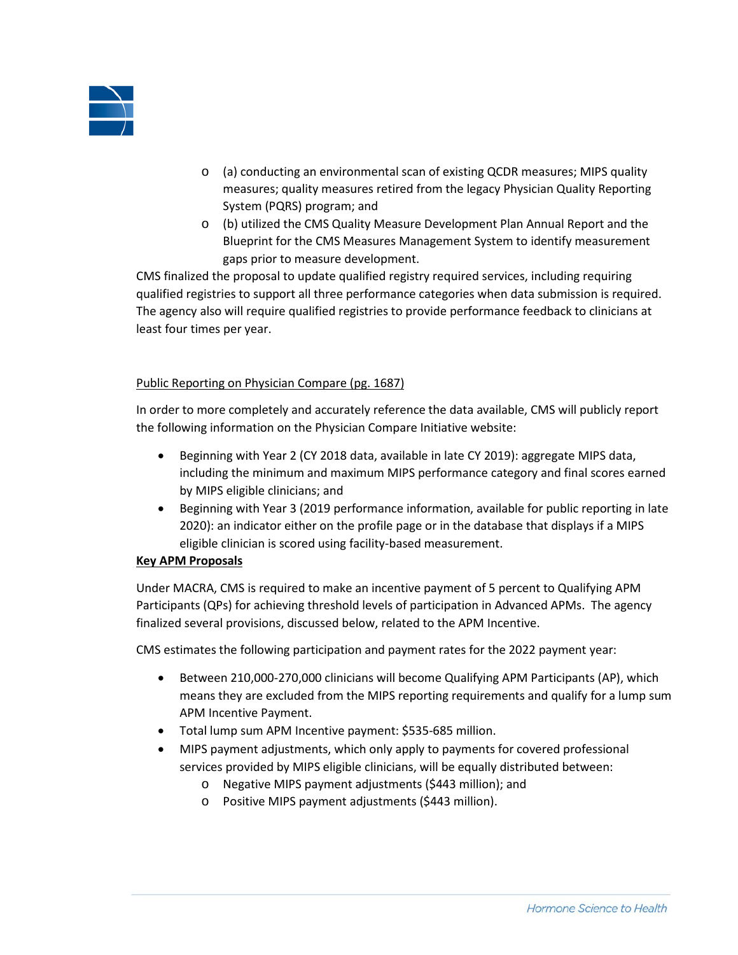

- o (a) conducting an environmental scan of existing QCDR measures; MIPS quality measures; quality measures retired from the legacy Physician Quality Reporting System (PQRS) program; and
- o (b) utilized the CMS Quality Measure Development Plan Annual Report and the Blueprint for the CMS Measures Management System to identify measurement gaps prior to measure development.

CMS finalized the proposal to update qualified registry required services, including requiring qualified registries to support all three performance categories when data submission is required. The agency also will require qualified registries to provide performance feedback to clinicians at least four times per year.

## Public Reporting on Physician Compare (pg. 1687)

In order to more completely and accurately reference the data available, CMS will publicly report the following information on the Physician Compare Initiative website:

- Beginning with Year 2 (CY 2018 data, available in late CY 2019): aggregate MIPS data, including the minimum and maximum MIPS performance category and final scores earned by MIPS eligible clinicians; and
- Beginning with Year 3 (2019 performance information, available for public reporting in late 2020): an indicator either on the profile page or in the database that displays if a MIPS eligible clinician is scored using facility-based measurement.

# **Key APM Proposals**

Under MACRA, CMS is required to make an incentive payment of 5 percent to Qualifying APM Participants (QPs) for achieving threshold levels of participation in Advanced APMs. The agency finalized several provisions, discussed below, related to the APM Incentive.

CMS estimates the following participation and payment rates for the 2022 payment year:

- Between 210,000-270,000 clinicians will become Qualifying APM Participants (AP), which means they are excluded from the MIPS reporting requirements and qualify for a lump sum APM Incentive Payment.
- Total lump sum APM Incentive payment: \$535-685 million.
- MIPS payment adjustments, which only apply to payments for covered professional services provided by MIPS eligible clinicians, will be equally distributed between:
	- o Negative MIPS payment adjustments (\$443 million); and
	- o Positive MIPS payment adjustments (\$443 million).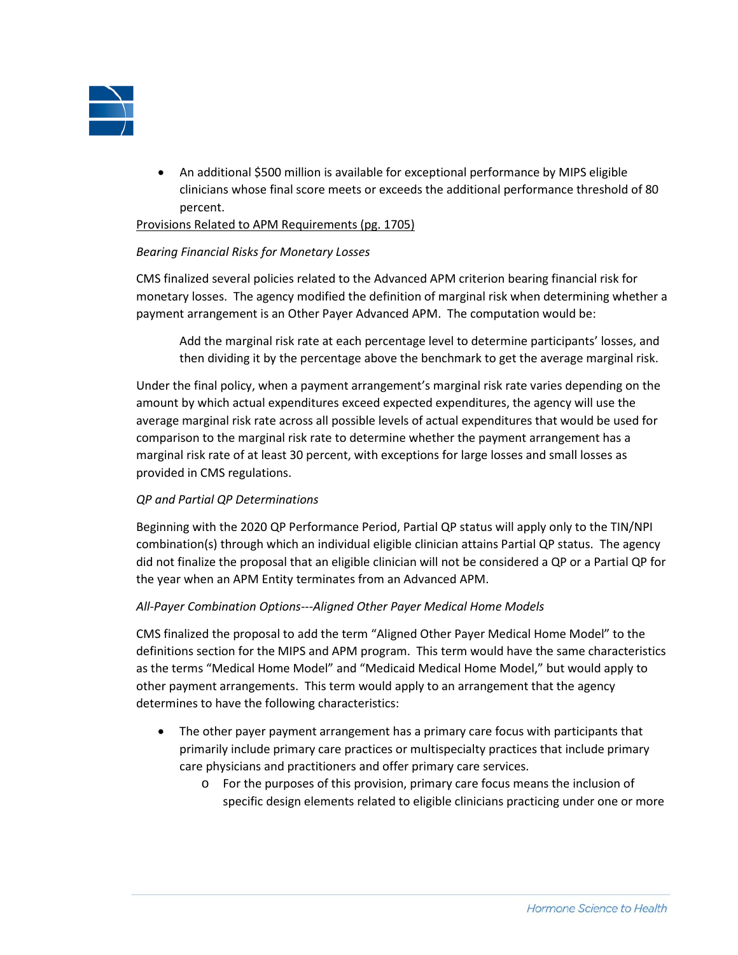

• An additional \$500 million is available for exceptional performance by MIPS eligible clinicians whose final score meets or exceeds the additional performance threshold of 80 percent.

#### Provisions Related to APM Requirements (pg. 1705)

### *Bearing Financial Risks for Monetary Losses*

CMS finalized several policies related to the Advanced APM criterion bearing financial risk for monetary losses. The agency modified the definition of marginal risk when determining whether a payment arrangement is an Other Payer Advanced APM. The computation would be:

Add the marginal risk rate at each percentage level to determine participants' losses, and then dividing it by the percentage above the benchmark to get the average marginal risk.

Under the final policy, when a payment arrangement's marginal risk rate varies depending on the amount by which actual expenditures exceed expected expenditures, the agency will use the average marginal risk rate across all possible levels of actual expenditures that would be used for comparison to the marginal risk rate to determine whether the payment arrangement has a marginal risk rate of at least 30 percent, with exceptions for large losses and small losses as provided in CMS regulations.

### *QP and Partial QP Determinations*

Beginning with the 2020 QP Performance Period, Partial QP status will apply only to the TIN/NPI combination(s) through which an individual eligible clinician attains Partial QP status. The agency did not finalize the proposal that an eligible clinician will not be considered a QP or a Partial QP for the year when an APM Entity terminates from an Advanced APM.

### *All-Payer Combination Options---Aligned Other Payer Medical Home Models*

CMS finalized the proposal to add the term "Aligned Other Payer Medical Home Model" to the definitions section for the MIPS and APM program. This term would have the same characteristics as the terms "Medical Home Model" and "Medicaid Medical Home Model," but would apply to other payment arrangements. This term would apply to an arrangement that the agency determines to have the following characteristics:

- The other payer payment arrangement has a primary care focus with participants that primarily include primary care practices or multispecialty practices that include primary care physicians and practitioners and offer primary care services.
	- o For the purposes of this provision, primary care focus means the inclusion of specific design elements related to eligible clinicians practicing under one or more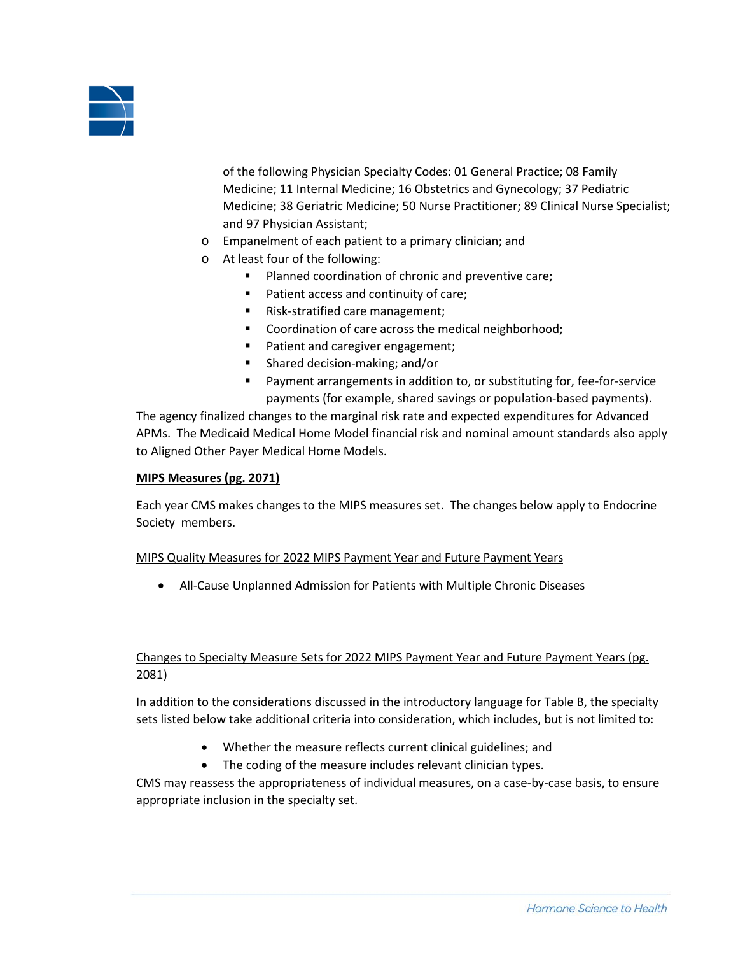

of the following Physician Specialty Codes: 01 General Practice; 08 Family Medicine; 11 Internal Medicine; 16 Obstetrics and Gynecology; 37 Pediatric Medicine; 38 Geriatric Medicine; 50 Nurse Practitioner; 89 Clinical Nurse Specialist; and 97 Physician Assistant;

- o Empanelment of each patient to a primary clinician; and
- o At least four of the following:
	- **Planned coordination of chronic and preventive care;**
	- **Patient access and continuity of care;**
	- Risk-stratified care management;
	- Coordination of care across the medical neighborhood;
	- **Patient and caregiver engagement;**
	- Shared decision-making; and/or
	- Payment arrangements in addition to, or substituting for, fee-for-service payments (for example, shared savings or population-based payments).

The agency finalized changes to the marginal risk rate and expected expenditures for Advanced APMs. The Medicaid Medical Home Model financial risk and nominal amount standards also apply to Aligned Other Payer Medical Home Models.

#### **MIPS Measures (pg. 2071)**

Each year CMS makes changes to the MIPS measures set. The changes below apply to Endocrine Society members.

#### MIPS Quality Measures for 2022 MIPS Payment Year and Future Payment Years

• All-Cause Unplanned Admission for Patients with Multiple Chronic Diseases

## Changes to Specialty Measure Sets for 2022 MIPS Payment Year and Future Payment Years (pg. 2081)

In addition to the considerations discussed in the introductory language for Table B, the specialty sets listed below take additional criteria into consideration, which includes, but is not limited to:

- Whether the measure reflects current clinical guidelines; and
- The coding of the measure includes relevant clinician types.

CMS may reassess the appropriateness of individual measures, on a case-by-case basis, to ensure appropriate inclusion in the specialty set.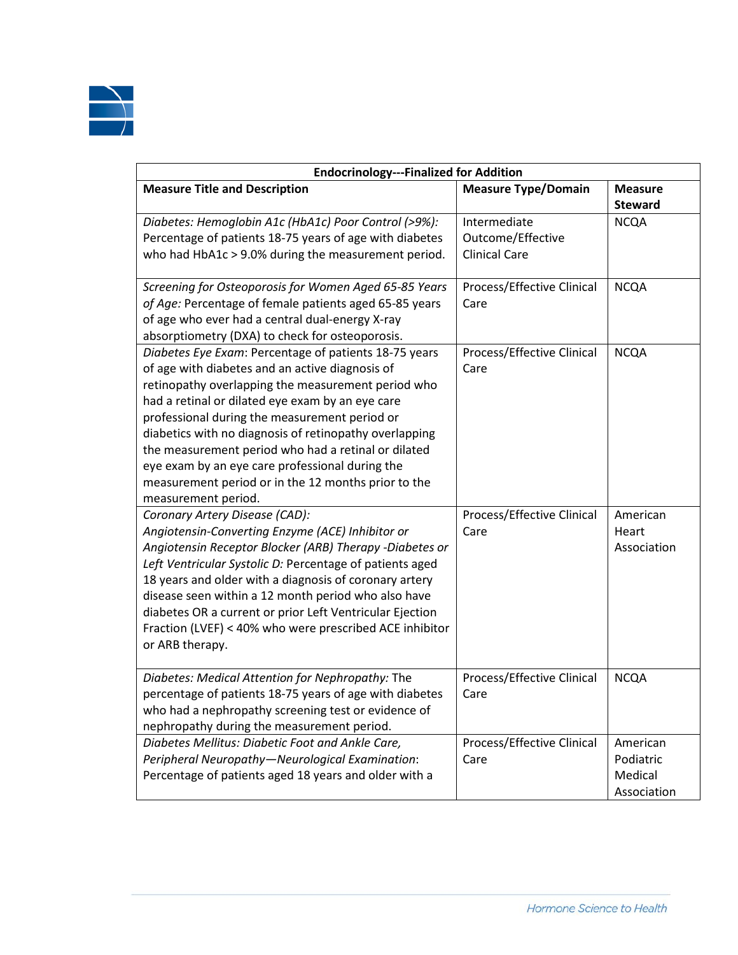

| <b>Endocrinology---Finalized for Addition</b>            |                            |                |  |
|----------------------------------------------------------|----------------------------|----------------|--|
| <b>Measure Title and Description</b>                     | <b>Measure Type/Domain</b> | <b>Measure</b> |  |
|                                                          |                            | <b>Steward</b> |  |
| Diabetes: Hemoglobin A1c (HbA1c) Poor Control (>9%):     | Intermediate               | <b>NCQA</b>    |  |
| Percentage of patients 18-75 years of age with diabetes  | Outcome/Effective          |                |  |
| who had HbA1c > 9.0% during the measurement period.      | <b>Clinical Care</b>       |                |  |
| Screening for Osteoporosis for Women Aged 65-85 Years    | Process/Effective Clinical | <b>NCQA</b>    |  |
| of Age: Percentage of female patients aged 65-85 years   | Care                       |                |  |
| of age who ever had a central dual-energy X-ray          |                            |                |  |
| absorptiometry (DXA) to check for osteoporosis.          |                            |                |  |
| Diabetes Eye Exam: Percentage of patients 18-75 years    | Process/Effective Clinical | <b>NCQA</b>    |  |
| of age with diabetes and an active diagnosis of          | Care                       |                |  |
| retinopathy overlapping the measurement period who       |                            |                |  |
| had a retinal or dilated eye exam by an eye care         |                            |                |  |
| professional during the measurement period or            |                            |                |  |
| diabetics with no diagnosis of retinopathy overlapping   |                            |                |  |
| the measurement period who had a retinal or dilated      |                            |                |  |
| eye exam by an eye care professional during the          |                            |                |  |
| measurement period or in the 12 months prior to the      |                            |                |  |
| measurement period.                                      |                            |                |  |
| Coronary Artery Disease (CAD):                           | Process/Effective Clinical | American       |  |
| Angiotensin-Converting Enzyme (ACE) Inhibitor or         | Care                       | Heart          |  |
| Angiotensin Receptor Blocker (ARB) Therapy -Diabetes or  |                            | Association    |  |
| Left Ventricular Systolic D: Percentage of patients aged |                            |                |  |
| 18 years and older with a diagnosis of coronary artery   |                            |                |  |
| disease seen within a 12 month period who also have      |                            |                |  |
| diabetes OR a current or prior Left Ventricular Ejection |                            |                |  |
| Fraction (LVEF) < 40% who were prescribed ACE inhibitor  |                            |                |  |
| or ARB therapy.                                          |                            |                |  |
| Diabetes: Medical Attention for Nephropathy: The         | Process/Effective Clinical | <b>NCQA</b>    |  |
| percentage of patients 18-75 years of age with diabetes  | Care                       |                |  |
| who had a nephropathy screening test or evidence of      |                            |                |  |
| nephropathy during the measurement period.               |                            |                |  |
| Diabetes Mellitus: Diabetic Foot and Ankle Care,         | Process/Effective Clinical | American       |  |
| Peripheral Neuropathy-Neurological Examination:          | Care                       | Podiatric      |  |
| Percentage of patients aged 18 years and older with a    |                            | Medical        |  |
|                                                          |                            | Association    |  |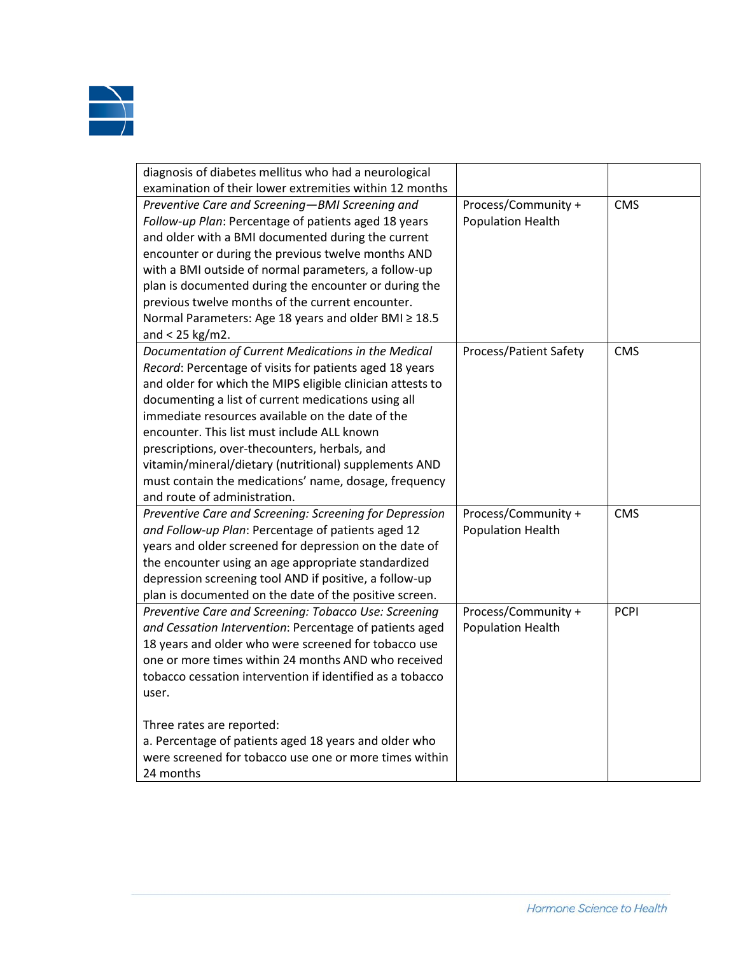

| diagnosis of diabetes mellitus who had a neurological<br>examination of their lower extremities within 12 months |                          |             |
|------------------------------------------------------------------------------------------------------------------|--------------------------|-------------|
|                                                                                                                  |                          | <b>CMS</b>  |
| Preventive Care and Screening-BMI Screening and                                                                  | Process/Community +      |             |
| Follow-up Plan: Percentage of patients aged 18 years                                                             | <b>Population Health</b> |             |
| and older with a BMI documented during the current                                                               |                          |             |
| encounter or during the previous twelve months AND                                                               |                          |             |
| with a BMI outside of normal parameters, a follow-up                                                             |                          |             |
| plan is documented during the encounter or during the                                                            |                          |             |
| previous twelve months of the current encounter.                                                                 |                          |             |
| Normal Parameters: Age 18 years and older BMI ≥ 18.5                                                             |                          |             |
| and < $25$ kg/m2.                                                                                                |                          |             |
| Documentation of Current Medications in the Medical                                                              | Process/Patient Safety   | <b>CMS</b>  |
| Record: Percentage of visits for patients aged 18 years                                                          |                          |             |
| and older for which the MIPS eligible clinician attests to                                                       |                          |             |
| documenting a list of current medications using all                                                              |                          |             |
| immediate resources available on the date of the                                                                 |                          |             |
| encounter. This list must include ALL known                                                                      |                          |             |
| prescriptions, over-thecounters, herbals, and                                                                    |                          |             |
| vitamin/mineral/dietary (nutritional) supplements AND                                                            |                          |             |
| must contain the medications' name, dosage, frequency                                                            |                          |             |
| and route of administration.                                                                                     |                          |             |
| Preventive Care and Screening: Screening for Depression                                                          | Process/Community +      | <b>CMS</b>  |
| and Follow-up Plan: Percentage of patients aged 12                                                               | <b>Population Health</b> |             |
| years and older screened for depression on the date of                                                           |                          |             |
| the encounter using an age appropriate standardized                                                              |                          |             |
| depression screening tool AND if positive, a follow-up                                                           |                          |             |
| plan is documented on the date of the positive screen.                                                           |                          |             |
| Preventive Care and Screening: Tobacco Use: Screening                                                            | Process/Community +      | <b>PCPI</b> |
| and Cessation Intervention: Percentage of patients aged                                                          | <b>Population Health</b> |             |
| 18 years and older who were screened for tobacco use                                                             |                          |             |
| one or more times within 24 months AND who received                                                              |                          |             |
| tobacco cessation intervention if identified as a tobacco                                                        |                          |             |
| user.                                                                                                            |                          |             |
|                                                                                                                  |                          |             |
| Three rates are reported:                                                                                        |                          |             |
| a. Percentage of patients aged 18 years and older who                                                            |                          |             |
| were screened for tobacco use one or more times within                                                           |                          |             |
| 24 months                                                                                                        |                          |             |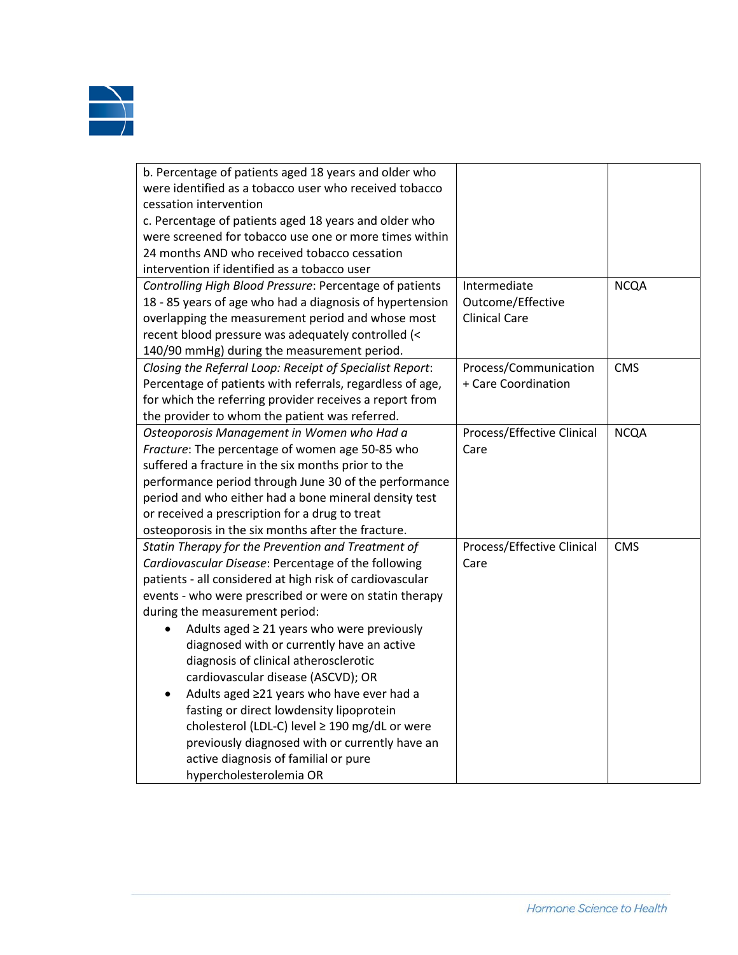

| b. Percentage of patients aged 18 years and older who     |                            |             |
|-----------------------------------------------------------|----------------------------|-------------|
| were identified as a tobacco user who received tobacco    |                            |             |
| cessation intervention                                    |                            |             |
| c. Percentage of patients aged 18 years and older who     |                            |             |
| were screened for tobacco use one or more times within    |                            |             |
| 24 months AND who received tobacco cessation              |                            |             |
| intervention if identified as a tobacco user              |                            |             |
| Controlling High Blood Pressure: Percentage of patients   | Intermediate               | <b>NCQA</b> |
| 18 - 85 years of age who had a diagnosis of hypertension  | Outcome/Effective          |             |
| overlapping the measurement period and whose most         | <b>Clinical Care</b>       |             |
| recent blood pressure was adequately controlled (<        |                            |             |
| 140/90 mmHg) during the measurement period.               |                            |             |
| Closing the Referral Loop: Receipt of Specialist Report:  | Process/Communication      | <b>CMS</b>  |
| Percentage of patients with referrals, regardless of age, | + Care Coordination        |             |
| for which the referring provider receives a report from   |                            |             |
| the provider to whom the patient was referred.            |                            |             |
| Osteoporosis Management in Women who Had a                | Process/Effective Clinical | <b>NCQA</b> |
| Fracture: The percentage of women age 50-85 who           | Care                       |             |
| suffered a fracture in the six months prior to the        |                            |             |
| performance period through June 30 of the performance     |                            |             |
| period and who either had a bone mineral density test     |                            |             |
| or received a prescription for a drug to treat            |                            |             |
| osteoporosis in the six months after the fracture.        |                            |             |
| Statin Therapy for the Prevention and Treatment of        | Process/Effective Clinical | <b>CMS</b>  |
| Cardiovascular Disease: Percentage of the following       | Care                       |             |
| patients - all considered at high risk of cardiovascular  |                            |             |
| events - who were prescribed or were on statin therapy    |                            |             |
| during the measurement period:                            |                            |             |
| Adults aged $\geq$ 21 years who were previously           |                            |             |
| diagnosed with or currently have an active                |                            |             |
| diagnosis of clinical atherosclerotic                     |                            |             |
| cardiovascular disease (ASCVD); OR                        |                            |             |
| Adults aged ≥21 years who have ever had a<br>$\bullet$    |                            |             |
| fasting or direct lowdensity lipoprotein                  |                            |             |
| cholesterol (LDL-C) level ≥ 190 mg/dL or were             |                            |             |
| previously diagnosed with or currently have an            |                            |             |
| active diagnosis of familial or pure                      |                            |             |
| hvnercholesterolemia OR                                   |                            |             |